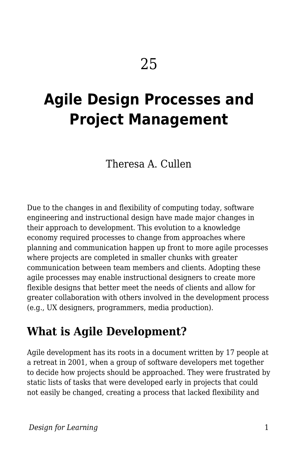# **Agile Design Processes and Project Management**

Theresa A. Cullen

Due to the changes in and flexibility of computing today, software engineering and instructional design have made major changes in their approach to development. This evolution to a knowledge economy required processes to change from approaches where planning and communication happen up front to more agile processes where projects are completed in smaller chunks with greater communication between team members and clients. Adopting these agile processes may enable instructional designers to create more flexible designs that better meet the needs of clients and allow for greater collaboration with others involved in the development process (e.g., UX designers, programmers, media production).

### **What is Agile Development?**

Agile development has its roots in a document written by 17 people at a retreat in 2001, when a group of software developers met together to decide how projects should be approached. They were frustrated by static lists of tasks that were developed early in projects that could not easily be changed, creating a process that lacked flexibility and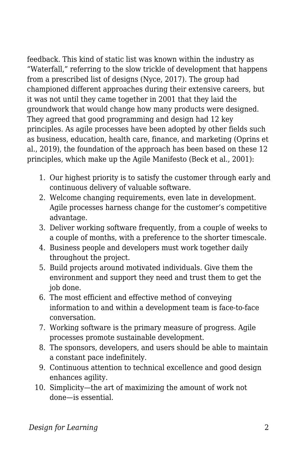feedback. This kind of static list was known within the industry as "Waterfall," referring to the slow trickle of development that happens from a prescribed list of designs (Nyce, 2017). The group had championed different approaches during their extensive careers, but it was not until they came together in 2001 that they laid the groundwork that would change how many products were designed. They agreed that good programming and design had 12 key principles. As agile processes have been adopted by other fields such as business, education, health care, finance, and marketing (Oprins et al., 2019), the foundation of the approach has been based on these 12 principles, which make up the Agile Manifesto (Beck et al., 2001):

- 1. Our highest priority is to satisfy the customer through early and continuous delivery of valuable software.
- 2. Welcome changing requirements, even late in development. Agile processes harness change for the customer's competitive advantage.
- 3. Deliver working software frequently, from a couple of weeks to a couple of months, with a preference to the shorter timescale.
- 4. Business people and developers must work together daily throughout the project.
- 5. Build projects around motivated individuals. Give them the environment and support they need and trust them to get the job done.
- 6. The most efficient and effective method of conveying information to and within a development team is face-to-face conversation.
- 7. Working software is the primary measure of progress. Agile processes promote sustainable development.
- 8. The sponsors, developers, and users should be able to maintain a constant pace indefinitely.
- 9. Continuous attention to technical excellence and good design enhances agility.
- 10. Simplicity—the art of maximizing the amount of work not done—is essential.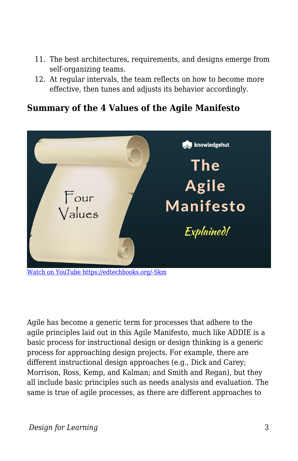- 11. The best architectures, requirements, and designs emerge from self-organizing teams.
- 12. At regular intervals, the team reflects on how to become more effective, then tunes and adjusts its behavior accordingly.

#### **Summary of the 4 Values of the Agile Manifesto**



Agile has become a generic term for processes that adhere to the agile principles laid out in this Agile Manifesto, much like ADDIE is a basic process for instructional design or design thinking is a generic process for approaching design projects. For example, there are different instructional design approaches (e.g., Dick and Carey; Morrison, Ross, Kemp, and Kalman; and Smith and Regan), but they all include basic principles such as needs analysis and evaluation. The same is true of agile processes, as there are different approaches to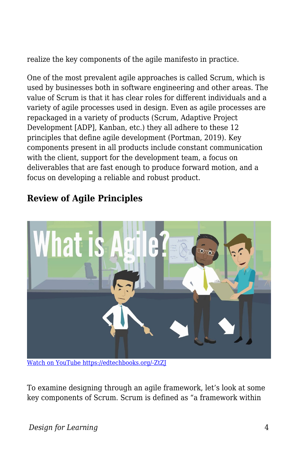realize the key components of the agile manifesto in practice.

One of the most prevalent agile approaches is called Scrum, which is used by businesses both in software engineering and other areas. The value of Scrum is that it has clear roles for different individuals and a variety of agile processes used in design. Even as agile processes are repackaged in a variety of products (Scrum, Adaptive Project Development [ADP], Kanban, etc.) they all adhere to these 12 principles that define agile development (Portman, 2019). Key components present in all products include constant communication with the client, support for the development team, a focus on deliverables that are fast enough to produce forward motion, and a focus on developing a reliable and robust product.



### **Review of Agile Principles**

[Watch on YouTube https://edtechbooks.org/-ZtZJ](https://www.youtube.com/embed/Z9QbYZh1YXY?autoplay=1&rel=0&showinfo=0&modestbranding=1)

To examine designing through an agile framework, let's look at some key components of Scrum. Scrum is defined as "a framework within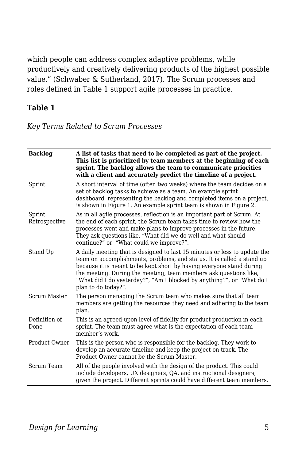which people can address complex adaptive problems, while productively and creatively delivering products of the highest possible value." (Schwaber & Sutherland, 2017). The Scrum processes and roles defined in Table 1 support agile processes in practice.

#### **Table 1**

*Key Terms Related to Scrum Processes*

| <b>Backlog</b>          | A list of tasks that need to be completed as part of the project.<br>This list is prioritized by team members at the beginning of each<br>sprint. The backlog allows the team to communicate priorities<br>with a client and accurately predict the timeline of a project.                                                                                                                        |
|-------------------------|---------------------------------------------------------------------------------------------------------------------------------------------------------------------------------------------------------------------------------------------------------------------------------------------------------------------------------------------------------------------------------------------------|
| Sprint                  | A short interval of time (often two weeks) where the team decides on a<br>set of backlog tasks to achieve as a team. An example sprint<br>dashboard, representing the backlog and completed items on a project,<br>is shown in Figure 1. An example sprint team is shown in Figure 2.                                                                                                             |
| Sprint<br>Retrospective | As in all agile processes, reflection is an important part of Scrum. At<br>the end of each sprint, the Scrum team takes time to review how the<br>processes went and make plans to improve processes in the future.<br>They ask questions like, "What did we do well and what should<br>continue?" or "What could we improve?".                                                                   |
| Stand Up                | A daily meeting that is designed to last 15 minutes or less to update the<br>team on accomplishments, problems, and status. It is called a stand up<br>because it is meant to be kept short by having everyone stand during<br>the meeting. During the meeting, team members ask questions like,<br>"What did I do yesterday?", "Am I blocked by anything?", or "What do I<br>plan to do today?". |
| Scrum Master            | The person managing the Scrum team who makes sure that all team<br>members are getting the resources they need and adhering to the team<br>plan.                                                                                                                                                                                                                                                  |
| Definition of<br>Done   | This is an agreed-upon level of fidelity for product production in each<br>sprint. The team must agree what is the expectation of each team<br>member's work.                                                                                                                                                                                                                                     |
| Product Owner           | This is the person who is responsible for the backlog. They work to<br>develop an accurate timeline and keep the project on track. The<br>Product Owner cannot be the Scrum Master.                                                                                                                                                                                                               |
| Scrum Team              | All of the people involved with the design of the product. This could<br>include developers, UX designers, QA, and instructional designers,<br>given the project. Different sprints could have different team members.                                                                                                                                                                            |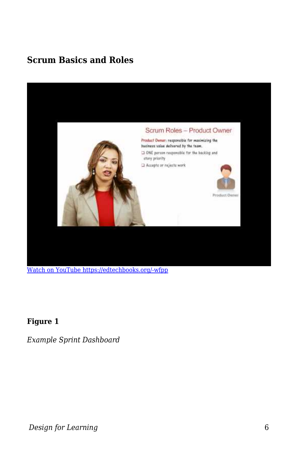### **Scrum Basics and Roles**



[Watch on YouTube https://edtechbooks.org/-wfpp](https://www.youtube.com/embed/aQrsVfjbQZ4?autoplay=1&rel=0&showinfo=0&modestbranding=1)

#### **Figure 1**

*Example Sprint Dashboard*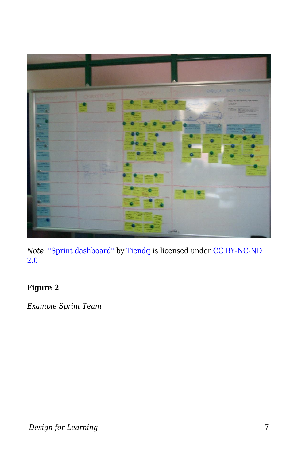

*Note.* ["Sprint dashboard"](https://www.flickr.com/photos/34886431@N00/5755676690) by [Tiendq](https://www.flickr.com/photos/34886431@N00) is licensed under [CC BY-NC-ND](https://creativecommons.org/licenses/by-nc-nd/2.0/?ref=ccsearch&atype=rich) [2.0](https://creativecommons.org/licenses/by-nc-nd/2.0/?ref=ccsearch&atype=rich)

#### **Figure 2**

*Example Sprint Team*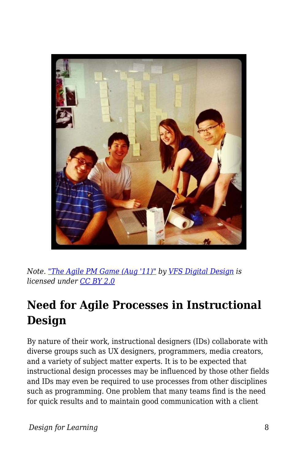

*Note. ["The Agile PM Game \(Aug '11\)"](https://www.flickr.com/photos/58816914@N05/6080263984) by [VFS Digital Design](https://www.flickr.com/photos/58816914@N05) is licensed under [CC BY 2.0](https://creativecommons.org/licenses/by/2.0/?ref=ccsearch&atype=rich)*

## **Need for Agile Processes in Instructional Design**

By nature of their work, instructional designers (IDs) collaborate with diverse groups such as UX designers, programmers, media creators, and a variety of subject matter experts. It is to be expected that instructional design processes may be influenced by those other fields and IDs may even be required to use processes from other disciplines such as programming. One problem that many teams find is the need for quick results and to maintain good communication with a client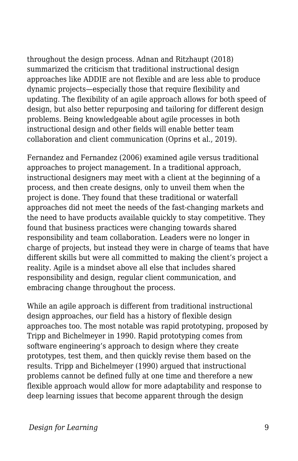throughout the design process. Adnan and Ritzhaupt (2018) summarized the criticism that traditional instructional design approaches like ADDIE are not flexible and are less able to produce dynamic projects—especially those that require flexibility and updating. The flexibility of an agile approach allows for both speed of design, but also better repurposing and tailoring for different design problems. Being knowledgeable about agile processes in both instructional design and other fields will enable better team collaboration and client communication (Oprins et al., 2019).

Fernandez and Fernandez (2006) examined agile versus traditional approaches to project management. In a traditional approach, instructional designers may meet with a client at the beginning of a process, and then create designs, only to unveil them when the project is done. They found that these traditional or waterfall approaches did not meet the needs of the fast-changing markets and the need to have products available quickly to stay competitive. They found that business practices were changing towards shared responsibility and team collaboration. Leaders were no longer in charge of projects, but instead they were in charge of teams that have different skills but were all committed to making the client's project a reality. Agile is a mindset above all else that includes shared responsibility and design, regular client communication, and embracing change throughout the process.

While an agile approach is different from traditional instructional design approaches, our field has a history of flexible design approaches too. The most notable was rapid prototyping, proposed by Tripp and Bichelmeyer in 1990. Rapid prototyping comes from software engineering's approach to design where they create prototypes, test them, and then quickly revise them based on the results. Tripp and Bichelmeyer (1990) argued that instructional problems cannot be defined fully at one time and therefore a new flexible approach would allow for more adaptability and response to deep learning issues that become apparent through the design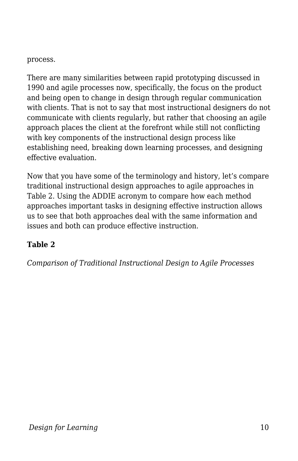process.

There are many similarities between rapid prototyping discussed in 1990 and agile processes now, specifically, the focus on the product and being open to change in design through regular communication with clients. That is not to say that most instructional designers do not communicate with clients regularly, but rather that choosing an agile approach places the client at the forefront while still not conflicting with key components of the instructional design process like establishing need, breaking down learning processes, and designing effective evaluation.

Now that you have some of the terminology and history, let's compare traditional instructional design approaches to agile approaches in Table 2. Using the ADDIE acronym to compare how each method approaches important tasks in designing effective instruction allows us to see that both approaches deal with the same information and issues and both can produce effective instruction.

#### **Table 2**

*Comparison of Traditional Instructional Design to Agile Processes*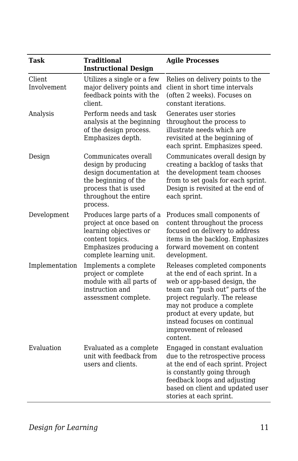| Task                  | <b>Traditional</b><br><b>Instructional Design</b>                                                                                                           | <b>Agile Processes</b>                                                                                                                                                                                                                                                                                      |
|-----------------------|-------------------------------------------------------------------------------------------------------------------------------------------------------------|-------------------------------------------------------------------------------------------------------------------------------------------------------------------------------------------------------------------------------------------------------------------------------------------------------------|
| Client<br>Involvement | Utilizes a single or a few<br>major delivery points and<br>feedback points with the<br>client.                                                              | Relies on delivery points to the<br>client in short time intervals<br>(often 2 weeks). Focuses on<br>constant iterations.                                                                                                                                                                                   |
| Analysis              | Perform needs and task<br>analysis at the beginning<br>of the design process.<br>Emphasizes depth.                                                          | Generates user stories<br>throughout the process to<br>illustrate needs which are<br>revisited at the beginning of<br>each sprint. Emphasizes speed.                                                                                                                                                        |
| Design                | Communicates overall<br>design by producing<br>design documentation at<br>the beginning of the<br>process that is used<br>throughout the entire<br>process. | Communicates overall design by<br>creating a backlog of tasks that<br>the development team chooses<br>from to set goals for each sprint.<br>Design is revisited at the end of<br>each sprint.                                                                                                               |
| Development           | Produces large parts of a<br>project at once based on<br>learning objectives or<br>content topics.<br>Emphasizes producing a<br>complete learning unit.     | Produces small components of<br>content throughout the process<br>focused on delivery to address<br>items in the backlog. Emphasizes<br>forward movement on content<br>development.                                                                                                                         |
| Implementation        | Implements a complete<br>project or complete<br>module with all parts of<br>instruction and<br>assessment complete.                                         | Releases completed components<br>at the end of each sprint. In a<br>web or app-based design, the<br>team can "push out" parts of the<br>project regularly. The release<br>may not produce a complete<br>product at every update, but<br>instead focuses on continual<br>improvement of released<br>content. |
| Evaluation            | Evaluated as a complete<br>unit with feedback from<br>users and clients.                                                                                    | Engaged in constant evaluation<br>due to the retrospective process<br>at the end of each sprint. Project<br>is constantly going through<br>feedback loops and adjusting<br>based on client and updated user<br>stories at each sprint.                                                                      |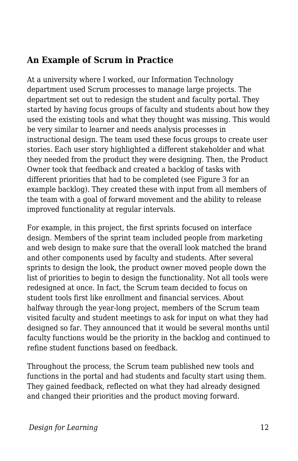### **An Example of Scrum in Practice**

At a university where I worked, our Information Technology department used Scrum processes to manage large projects. The department set out to redesign the student and faculty portal. They started by having focus groups of faculty and students about how they used the existing tools and what they thought was missing. This would be very similar to learner and needs analysis processes in instructional design. The team used these focus groups to create user stories. Each user story highlighted a different stakeholder and what they needed from the product they were designing. Then, the Product Owner took that feedback and created a backlog of tasks with different priorities that had to be completed (see Figure 3 for an example backlog). They created these with input from all members of the team with a goal of forward movement and the ability to release improved functionality at regular intervals.

For example, in this project, the first sprints focused on interface design. Members of the sprint team included people from marketing and web design to make sure that the overall look matched the brand and other components used by faculty and students. After several sprints to design the look, the product owner moved people down the list of priorities to begin to design the functionality. Not all tools were redesigned at once. In fact, the Scrum team decided to focus on student tools first like enrollment and financial services. About halfway through the year-long project, members of the Scrum team visited faculty and student meetings to ask for input on what they had designed so far. They announced that it would be several months until faculty functions would be the priority in the backlog and continued to refine student functions based on feedback.

Throughout the process, the Scrum team published new tools and functions in the portal and had students and faculty start using them. They gained feedback, reflected on what they had already designed and changed their priorities and the product moving forward.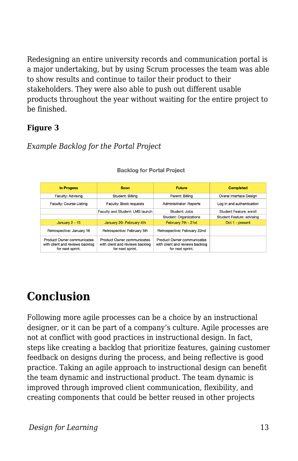Redesigning an entire university records and communication portal is a major undertaking, but by using Scrum processes the team was able to show results and continue to tailor their product to their stakeholders. They were also able to push out different usable products throughout the year without waiting for the entire project to be finished.

#### **Figure 3**

#### *Example Backlog for the Portal Project*

| <b>In Progess</b>                                                                 | Soon                                                                              | <b>Future</b>                                                                     | <b>Completed</b>          |
|-----------------------------------------------------------------------------------|-----------------------------------------------------------------------------------|-----------------------------------------------------------------------------------|---------------------------|
| Faculty: Advising                                                                 | Student: Billing                                                                  | Parent: Billing                                                                   | Overal Interface Design   |
| Faculty: Course Listing                                                           | Faculty: Book requests                                                            | <b>Adminisitrator: Reports</b>                                                    | Log in and authentication |
|                                                                                   | Faculty and Student: LMS launch                                                   | Student: Jobs                                                                     | Student Feature: enroll   |
|                                                                                   |                                                                                   | <b>Student: Organizations</b>                                                     | Student Feature: advising |
| January $2 - 15$                                                                  | January 20- February 4th                                                          | February 7th - 21st                                                               | Oct 1 - present           |
| Retrospective: January 16                                                         | Retrospective: February 5th                                                       | Retrospective: February 22nd                                                      |                           |
| Product Owner communicates<br>with client and reviews backlog<br>for next sprint. | Product Owner communicates<br>with client and reviews backlog<br>for next sprint. | Product Owner communicates<br>with client and reviews backlog<br>for next sprint. |                           |

#### **Backlog for Portal Project**

### **Conclusion**

Following more agile processes can be a choice by an instructional designer, or it can be part of a company's culture. Agile processes are not at conflict with good practices in instructional design. In fact, steps like creating a backlog that prioritize features, gaining customer feedback on designs during the process, and being reflective is good practice. Taking an agile approach to instructional design can benefit the team dynamic and instructional product. The team dynamic is improved through improved client communication, flexibility, and creating components that could be better reused in other projects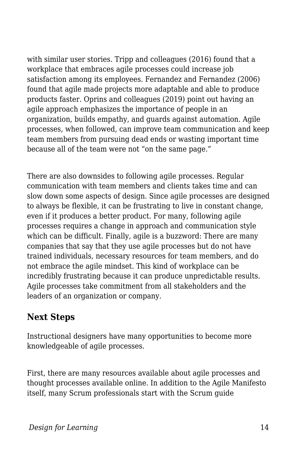with similar user stories. Tripp and colleagues (2016) found that a workplace that embraces agile processes could increase job satisfaction among its employees. Fernandez and Fernandez (2006) found that agile made projects more adaptable and able to produce products faster. Oprins and colleagues (2019) point out having an agile approach emphasizes the importance of people in an organization, builds empathy, and guards against automation. Agile processes, when followed, can improve team communication and keep team members from pursuing dead ends or wasting important time because all of the team were not "on the same page."

There are also downsides to following agile processes. Regular communication with team members and clients takes time and can slow down some aspects of design. Since agile processes are designed to always be flexible, it can be frustrating to live in constant change, even if it produces a better product. For many, following agile processes requires a change in approach and communication style which can be difficult. Finally, agile is a buzzword: There are many companies that say that they use agile processes but do not have trained individuals, necessary resources for team members, and do not embrace the agile mindset. This kind of workplace can be incredibly frustrating because it can produce unpredictable results. Agile processes take commitment from all stakeholders and the leaders of an organization or company.

### **Next Steps**

Instructional designers have many opportunities to become more knowledgeable of agile processes.

First, there are many resources available about agile processes and thought processes available online. In addition to the Agile Manifesto itself, many Scrum professionals start with the Scrum guide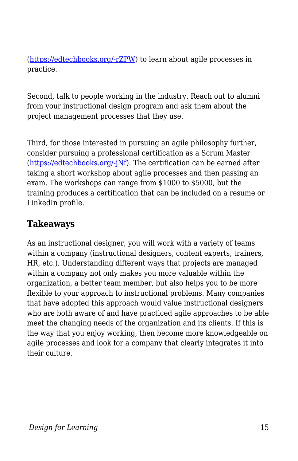([https://edtechbooks.org/-rZPW\)](https://www.scrumalliance.org/learn-about-scrum/the-scrum-guide) to learn about agile processes in practice.

Second, talk to people working in the industry. Reach out to alumni from your instructional design program and ask them about the project management processes that they use.

Third, for those interested in pursuing an agile philosophy further, consider pursuing a professional certification as a Scrum Master ([https://edtechbooks.org/-jNf\)](https://www.scrumalliance.org/get-certified). The certification can be earned after taking a short workshop about agile processes and then passing an exam. The workshops can range from \$1000 to \$5000, but the training produces a certification that can be included on a resume or LinkedIn profile.

#### **Takeaways**

As an instructional designer, you will work with a variety of teams within a company (instructional designers, content experts, trainers, HR, etc.). Understanding different ways that projects are managed within a company not only makes you more valuable within the organization, a better team member, but also helps you to be more flexible to your approach to instructional problems. Many companies that have adopted this approach would value instructional designers who are both aware of and have practiced agile approaches to be able meet the changing needs of the organization and its clients. If this is the way that you enjoy working, then become more knowledgeable on agile processes and look for a company that clearly integrates it into their culture.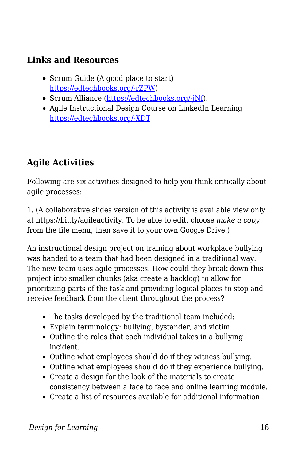### **Links and Resources**

- Scrum Guide (A good place to start) [https://edtechbooks.org/-rZPW](https://www.scrumalliance.org/learn-about-scrum/the-scrum-guide))
- Scrum Alliance ([https://edtechbooks.org/-jNf](https://www.scrumalliance.org/get-certified)).
- Agile Instructional Design Course on LinkedIn Learning [https://edtechbooks.org/-XDT](https://www.linkedin.com/learning/agile-instructional-design/welcome)

### **Agile Activities**

Following are six activities designed to help you think critically about agile processes:

1. (A collaborative slides version of this activity is available view only at https://bit.ly/agileactivity. To be able to edit, choose *make a copy* from the file menu, then save it to your own Google Drive.)

An instructional design project on training about workplace bullying was handed to a team that had been designed in a traditional way. The new team uses agile processes. How could they break down this project into smaller chunks (aka create a backlog) to allow for prioritizing parts of the task and providing logical places to stop and receive feedback from the client throughout the process?

- The tasks developed by the traditional team included:
- Explain terminology: bullying, bystander, and victim.
- Outline the roles that each individual takes in a bullying incident.
- Outline what employees should do if they witness bullying.
- Outline what employees should do if they experience bullying.
- Create a design for the look of the materials to create consistency between a face to face and online learning module.
- Create a list of resources available for additional information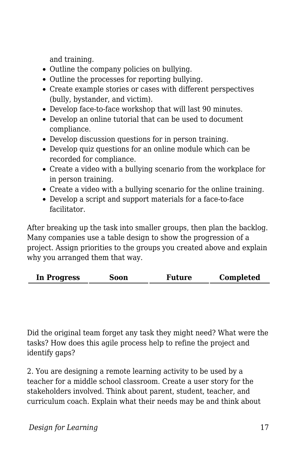and training.

- Outline the company policies on bullying.
- Outline the processes for reporting bullying.
- Create example stories or cases with different perspectives (bully, bystander, and victim).
- Develop face-to-face workshop that will last 90 minutes.
- Develop an online tutorial that can be used to document compliance.
- Develop discussion questions for in person training.
- Develop quiz questions for an online module which can be recorded for compliance.
- Create a video with a bullying scenario from the workplace for in person training.
- Create a video with a bullying scenario for the online training.
- Develop a script and support materials for a face-to-face facilitator.

After breaking up the task into smaller groups, then plan the backlog. Many companies use a table design to show the progression of a project. Assign priorities to the groups you created above and explain why you arranged them that way.

| <b>In Progress</b><br>Soon | <b>Future</b> | Completed |
|----------------------------|---------------|-----------|
|----------------------------|---------------|-----------|

Did the original team forget any task they might need? What were the tasks? How does this agile process help to refine the project and identify gaps?

2. You are designing a remote learning activity to be used by a teacher for a middle school classroom. Create a user story for the stakeholders involved. Think about parent, student, teacher, and curriculum coach. Explain what their needs may be and think about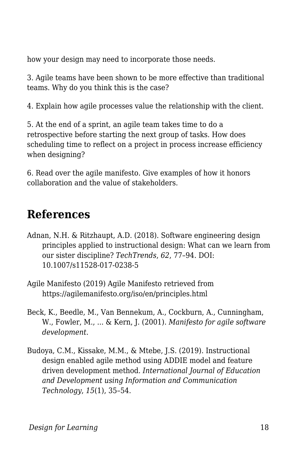how your design may need to incorporate those needs.

3. Agile teams have been shown to be more effective than traditional teams. Why do you think this is the case?

4. Explain how agile processes value the relationship with the client.

5. At the end of a sprint, an agile team takes time to do a retrospective before starting the next group of tasks. How does scheduling time to reflect on a project in process increase efficiency when designing?

6. Read over the agile manifesto. Give examples of how it honors collaboration and the value of stakeholders.

### **References**

- Adnan, N.H. & Ritzhaupt, A.D. (2018). Software engineering design principles applied to instructional design: What can we learn from our sister discipline? *TechTrends*, *62*, 77–94. DOI: 10.1007/s11528-017-0238-5
- Agile Manifesto (2019) Agile Manifesto retrieved from https://agilemanifesto.org/iso/en/principles.html
- Beck, K., Beedle, M., Van Bennekum, A., Cockburn, A., Cunningham, W., Fowler, M., ... & Kern, J. (2001). *Manifesto for agile software development*.
- Budoya, C.M., Kissake, M.M., & Mtebe, J.S. (2019). Instructional design enabled agile method using ADDIE model and feature driven development method. *International Journal of Education and Development using Information and Communication Technology*, *15*(1), 35–54.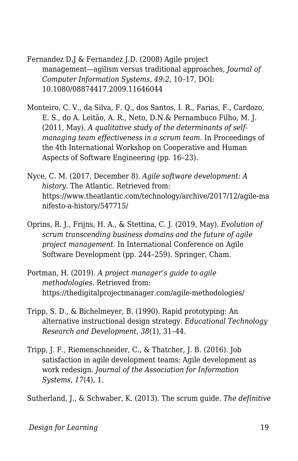Fernandez D.J & Fernandez J.D. (2008) Agile project management—agilism versus traditional approaches, *Journal of Computer Information Systems*, *49:2*, 10–17, DOI: 10.1080/08874417.2009.11646044

Monteiro, C. V., da Silva, F. Q., dos Santos, I. R., Farias, F., Cardozo, E. S., do A. Leitão, A. R., Neto, D.N.& Pernambuco Filho, M. J. (2011, May). *A qualitative study of the determinants of selfmanaging team effectiveness in a scrum team*. In Proceedings of the 4th International Workshop on Cooperative and Human Aspects of Software Engineering (pp. 16–23).

Nyce, C. M. (2017, December 8). *Agile software development: A history*. The Atlantic. Retrieved from: https://www.theatlantic.com/technology/archive/2017/12/agile-ma nifesto-a-history/547715/

Oprins, R. J., Frijns, H. A., & Stettina, C. J. (2019, May). *Evolution of scrum transcending business domains and the future of agile project management*. In International Conference on Agile Software Development (pp. 244–259). Springer, Cham.

Portman, H. (2019). *A project manager's guide to agile methodologies*. Retrieved from: https://thedigitalprojectmanager.com/agile-methodologies/

- Tripp, S. D., & Bichelmeyer, B. (1990). Rapid prototyping: An alternative instructional design strategy. *Educational Technology Research and Development*, *38*(1), 31–44.
- Tripp, J. F., Riemenschneider, C., & Thatcher, J. B. (2016). Job satisfaction in agile development teams: Agile development as work redesign. *Journal of the Association for Information Systems*, *17*(4), 1.

Sutherland, J., & Schwaber, K. (2013). The scrum guide. *The definitive*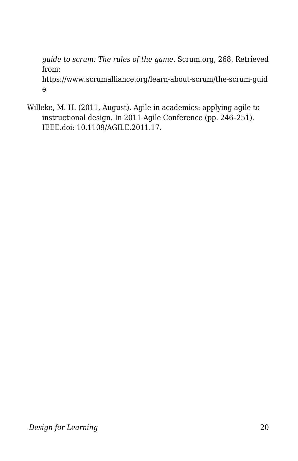*guide to scrum: The rules of the game*. Scrum.org, 268. Retrieved from: https://www.scrumalliance.org/learn-about-scrum/the-scrum-guid e

Willeke, M. H. (2011, August). Agile in academics: applying agile to instructional design. In 2011 Agile Conference (pp. 246–251). IEEE.doi: 10.1109/AGILE.2011.17.